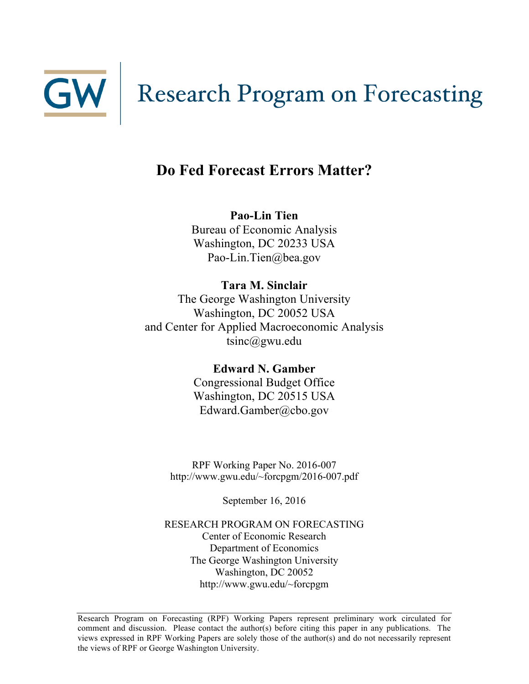

# GW Research Program on Forecasting

# **Do Fed Forecast Errors Matter?**

**Pao-Lin Tien** Bureau of Economic Analysis Washington, DC 20233 USA Pao-Lin.Tien@bea.gov

**Tara M. Sinclair** The George Washington University Washington, DC 20052 USA and Center for Applied Macroeconomic Analysis tsinc@gwu.edu

> **Edward N. Gamber**  Congressional Budget Office Washington, DC 20515 USA Edward.Gamber@cbo.gov

RPF Working Paper No. 2016-007 http://www.gwu.edu/~forcpgm/2016-007.pdf

September 16, 2016

RESEARCH PROGRAM ON FORECASTING Center of Economic Research Department of Economics The George Washington University Washington, DC 20052 http://www.gwu.edu/~forcpgm

Research Program on Forecasting (RPF) Working Papers represent preliminary work circulated for comment and discussion. Please contact the author(s) before citing this paper in any publications. The views expressed in RPF Working Papers are solely those of the author(s) and do not necessarily represent the views of RPF or George Washington University.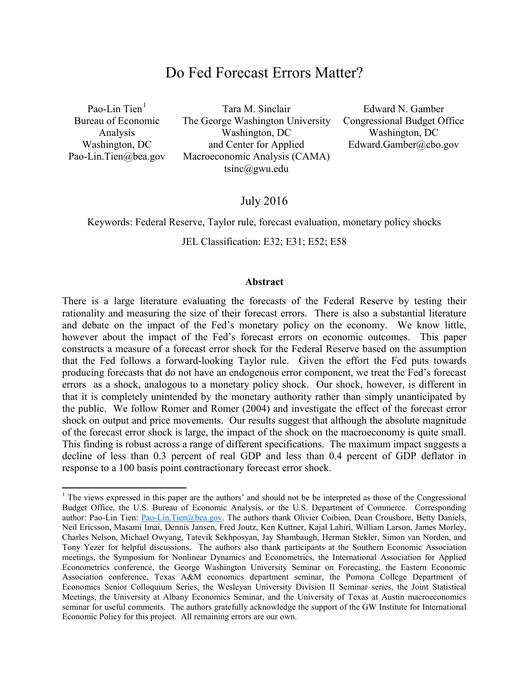## Do Fed Forecast Errors Matter?

Pao-Lin Tien $<sup>1</sup>$  $<sup>1</sup>$  $<sup>1</sup>$ </sup> Bureau of Economic Analysis Washington, DC Pao-Lin.Tien@bea.gov

Tara M. Sinclair The George Washington University Washington, DC and Center for Applied Macroeconomic Analysis (CAMA) tsinc@gwu.edu

Edward N. Gamber Congressional Budget Office Washington, DC Edward.Gamber@cbo.gov

## July 2016

#### Keywords: Federal Reserve, Taylor rule, forecast evaluation, monetary policy shocks

JEL Classification: E32; E31; E52; E58

#### **Abstract**

There is a large literature evaluating the forecasts of the Federal Reserve by testing their rationality and measuring the size of their forecast errors. There is also a substantial literature and debate on the impact of the Fed's monetary policy on the economy. We know little, however about the impact of the Fed's forecast errors on economic outcomes. This paper constructs a measure of a forecast error shock for the Federal Reserve based on the assumption that the Fed follows a forward-looking Taylor rule. Given the effort the Fed puts towards producing forecasts that do not have an endogenous error component, we treat the Fed's forecast errors as a shock, analogous to a monetary policy shock. Our shock, however, is different in that it is completely unintended by the monetary authority rather than simply unanticipated by the public. We follow Romer and Romer (2004) and investigate the effect of the forecast error shock on output and price movements. Our results suggest that although the absolute magnitude of the forecast error shock is large, the impact of the shock on the macroeconomy is quite small. This finding is robust across a range of different specifications. The maximum impact suggests a decline of less than 0.3 percent of real GDP and less than 0.4 percent of GDP deflator in response to a 100 basis point contractionary forecast error shock.

<span id="page-1-0"></span> $<sup>1</sup>$  The views expressed in this paper are the authors' and should not be be interpreted as those of the Congressional</sup> Budget Office, the U.S. Bureau of Economic Analysis, or the U.S. Department of Commerce. Corresponding author: Pao-Lin Tien: [Pao-Lin.Tien@bea.gov.](mailto:ptien@wesleyan.edu) The authors thank Olivier Coibion, Dean Croushore, Betty Daniels, Neil Ericsson, Masami Imai, Dennis Jansen, Fred Joutz, Ken Kuttner, Kajal Lahiri, William Larson, James Morley, Charles Nelson, Michael Owyang, Tatevik Sekhposyan, Jay Shambaugh, Herman Stekler, Simon van Norden, and Tony Yezer for helpful discussions. The authors also thank participants at the Southern Economic Association meetings, the Symposium for Nonlinear Dynamics and Econometrics, the International Association for Applied Econometrics conference, the George Washington University Seminar on Forecasting, the Eastern Economic Association conference, Texas A&M economics department seminar, the Pomona College Department of Economics Senior Colloquium Series, the Wesleyan University Division II Seminar series, the Joint Statistical Meetings, the University at Albany Economics Seminar, and the University of Texas at Austin macroeconomics seminar for useful comments. The authors gratefully acknowledge the support of the GW Institute for International Economic Policy for this project. All remaining errors are our own.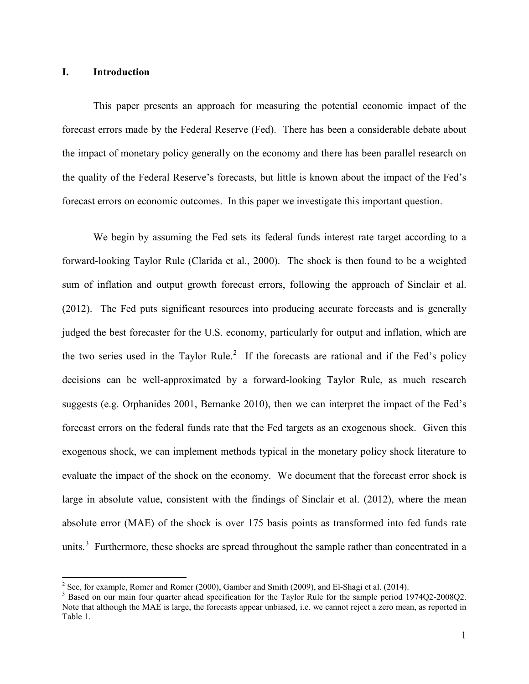## **I. Introduction**

This paper presents an approach for measuring the potential economic impact of the forecast errors made by the Federal Reserve (Fed). There has been a considerable debate about the impact of monetary policy generally on the economy and there has been parallel research on the quality of the Federal Reserve's forecasts, but little is known about the impact of the Fed's forecast errors on economic outcomes. In this paper we investigate this important question.

We begin by assuming the Fed sets its federal funds interest rate target according to a forward-looking Taylor Rule (Clarida et al., 2000). The shock is then found to be a weighted sum of inflation and output growth forecast errors, following the approach of Sinclair et al. (2012). The Fed puts significant resources into producing accurate forecasts and is generally judged the best forecaster for the U.S. economy, particularly for output and inflation, which are the two series used in the Taylor Rule.<sup>[2](#page-2-0)</sup> If the forecasts are rational and if the Fed's policy decisions can be well-approximated by a forward-looking Taylor Rule, as much research suggests (e.g. Orphanides 2001, Bernanke 2010), then we can interpret the impact of the Fed's forecast errors on the federal funds rate that the Fed targets as an exogenous shock. Given this exogenous shock, we can implement methods typical in the monetary policy shock literature to evaluate the impact of the shock on the economy. We document that the forecast error shock is large in absolute value, consistent with the findings of Sinclair et al. (2012), where the mean absolute error (MAE) of the shock is over 175 basis points as transformed into fed funds rate units.<sup>[3](#page-2-1)</sup> Furthermore, these shocks are spread throughout the sample rather than concentrated in a

<span id="page-2-1"></span><span id="page-2-0"></span><sup>&</sup>lt;sup>2</sup> See, for example, Romer and Romer (2000), Gamber and Smith (2009), and El-Shagi et al. (2014).<br><sup>3</sup> Based on our main four quarter ahead specification for the Taylor Rule for the sample period 1974Q2-2008Q2. Note that although the MAE is large, the forecasts appear unbiased, i.e. we cannot reject a zero mean, as reported in Table 1.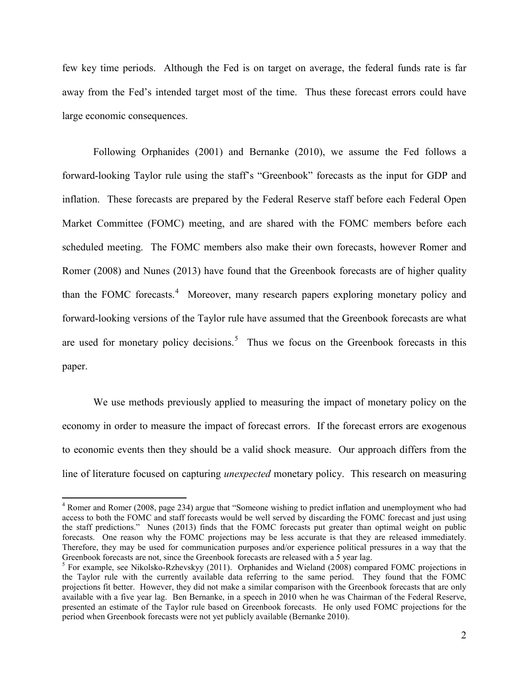few key time periods. Although the Fed is on target on average, the federal funds rate is far away from the Fed's intended target most of the time. Thus these forecast errors could have large economic consequences.

Following Orphanides (2001) and Bernanke (2010), we assume the Fed follows a forward-looking Taylor rule using the staff's "Greenbook" forecasts as the input for GDP and inflation. These forecasts are prepared by the Federal Reserve staff before each Federal Open Market Committee (FOMC) meeting, and are shared with the FOMC members before each scheduled meeting. The FOMC members also make their own forecasts, however Romer and Romer (2008) and Nunes (2013) have found that the Greenbook forecasts are of higher quality than the FOMC forecasts.<sup>[4](#page-3-0)</sup> Moreover, many research papers exploring monetary policy and forward-looking versions of the Taylor rule have assumed that the Greenbook forecasts are what are used for monetary policy decisions.<sup>[5](#page-3-1)</sup> Thus we focus on the Greenbook forecasts in this paper.

We use methods previously applied to measuring the impact of monetary policy on the economy in order to measure the impact of forecast errors. If the forecast errors are exogenous to economic events then they should be a valid shock measure. Our approach differs from the line of literature focused on capturing *unexpected* monetary policy. This research on measuring

<span id="page-3-0"></span><sup>&</sup>lt;sup>4</sup> Romer and Romer (2008, page 234) argue that "Someone wishing to predict inflation and unemployment who had access to both the FOMC and staff forecasts would be well served by discarding the FOMC forecast and just using the staff predictions." Nunes (2013) finds that the FOMC forecasts put greater than optimal weight on public forecasts. One reason why the FOMC projections may be less accurate is that they are released immediately. Therefore, they may be used for communication purposes and/or experience political pressures in a way that the Greenbook forecasts are not, since the Greenbook forecasts are released with a 5 year lag.

<span id="page-3-1"></span><sup>5</sup> For example, see Nikolsko-Rzhevskyy (2011). Orphanides and Wieland (2008) compared FOMC projections in the Taylor rule with the currently available data referring to the same period. They found that the FOMC projections fit better. However, they did not make a similar comparison with the Greenbook forecasts that are only available with a five year lag. Ben Bernanke, in a speech in 2010 when he was Chairman of the Federal Reserve, presented an estimate of the Taylor rule based on Greenbook forecasts. He only used FOMC projections for the period when Greenbook forecasts were not yet publicly available (Bernanke 2010).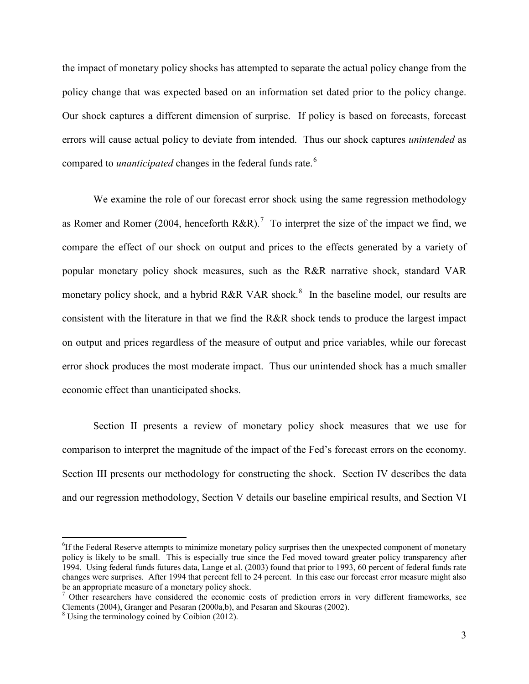the impact of monetary policy shocks has attempted to separate the actual policy change from the policy change that was expected based on an information set dated prior to the policy change. Our shock captures a different dimension of surprise. If policy is based on forecasts, forecast errors will cause actual policy to deviate from intended. Thus our shock captures *unintended* as compared to *unanticipated* changes in the federal funds rate.<sup>[6](#page-4-0)</sup>

We examine the role of our forecast error shock using the same regression methodology as Romer and Romer (2004, henceforth R&R).<sup>[7](#page-4-1)</sup> To interpret the size of the impact we find, we compare the effect of our shock on output and prices to the effects generated by a variety of popular monetary policy shock measures, such as the R&R narrative shock, standard VAR monetary policy shock, and a hybrid R&R VAR shock.<sup>[8](#page-4-2)</sup> In the baseline model, our results are consistent with the literature in that we find the R&R shock tends to produce the largest impact on output and prices regardless of the measure of output and price variables, while our forecast error shock produces the most moderate impact. Thus our unintended shock has a much smaller economic effect than unanticipated shocks.

Section II presents a review of monetary policy shock measures that we use for comparison to interpret the magnitude of the impact of the Fed's forecast errors on the economy. Section III presents our methodology for constructing the shock. Section IV describes the data and our regression methodology, Section V details our baseline empirical results, and Section VI

<span id="page-4-0"></span>6 <sup>6</sup>If the Federal Reserve attempts to minimize monetary policy surprises then the unexpected component of monetary policy is likely to be small. This is especially true since the Fed moved toward greater policy transparency after 1994. Using federal funds futures data, Lange et al. (2003) found that prior to 1993, 60 percent of federal funds rate changes were surprises. After 1994 that percent fell to 24 percent. In this case our forecast error measure might also be an appropriate measure of a monetary policy shock.

<span id="page-4-1"></span><sup>&</sup>lt;sup>7</sup> Other researchers have considered the economic costs of prediction errors in very different frameworks, see Clements (2004), Granger and Pesaran (2000a,b), and Pesaran and Skouras (2002).

<span id="page-4-2"></span><sup>&</sup>lt;sup>8</sup> Using the terminology coined by Coibion (2012).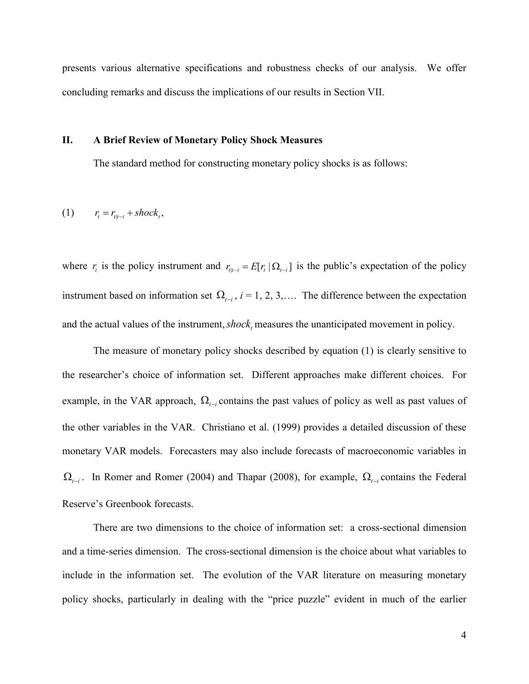presents various alternative specifications and robustness checks of our analysis. We offer concluding remarks and discuss the implications of our results in Section VII.

#### **II. A Brief Review of Monetary Policy Shock Measures**

The standard method for constructing monetary policy shocks is as follows:

$$
(1) \qquad r_t = r_{t|t-i} + shock_t,
$$

where  $r_i$  is the policy instrument and  $r_{i,t-i} = E[r_i | \Omega_{i-i}]$  is the public's expectation of the policy instrument based on information set  $\Omega_{t-i}$ ,  $i = 1, 2, 3, \dots$  The difference between the expectation and the actual values of the instrument, *shock*, measures the unanticipated movement in policy.

The measure of monetary policy shocks described by equation (1) is clearly sensitive to the researcher's choice of information set. Different approaches make different choices. For example, in the VAR approach,  $\Omega_{t-i}$  contains the past values of policy as well as past values of the other variables in the VAR. Christiano et al. (1999) provides a detailed discussion of these monetary VAR models. Forecasters may also include forecasts of macroeconomic variables in  $\Omega$ <sub>t-i</sub>. In Romer and Romer (2004) and Thapar (2008), for example,  $\Omega$ <sub>t-i</sub> contains the Federal Reserve's Greenbook forecasts.

There are two dimensions to the choice of information set: a cross-sectional dimension and a time-series dimension. The cross-sectional dimension is the choice about what variables to include in the information set. The evolution of the VAR literature on measuring monetary policy shocks, particularly in dealing with the "price puzzle" evident in much of the earlier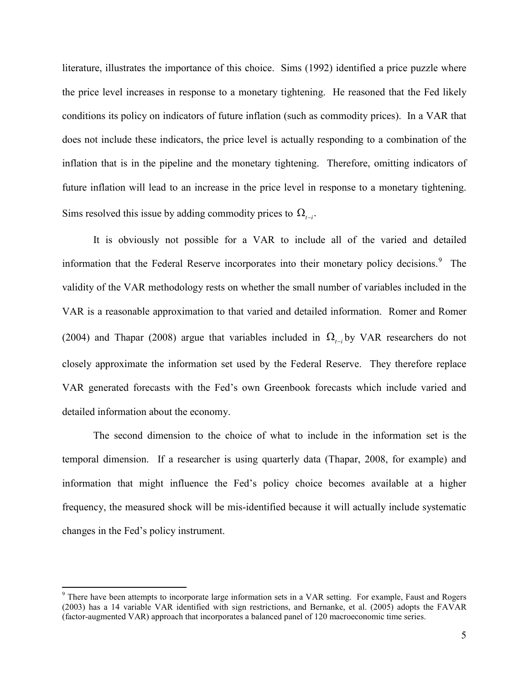literature, illustrates the importance of this choice. Sims (1992) identified a price puzzle where the price level increases in response to a monetary tightening. He reasoned that the Fed likely conditions its policy on indicators of future inflation (such as commodity prices). In a VAR that does not include these indicators, the price level is actually responding to a combination of the inflation that is in the pipeline and the monetary tightening. Therefore, omitting indicators of future inflation will lead to an increase in the price level in response to a monetary tightening. Sims resolved this issue by adding commodity prices to  $\Omega_{t-i}$ .

It is obviously not possible for a VAR to include all of the varied and detailed information that the Federal Reserve incorporates into their monetary policy decisions.<sup>[9](#page-6-0)</sup> The validity of the VAR methodology rests on whether the small number of variables included in the VAR is a reasonable approximation to that varied and detailed information. Romer and Romer (2004) and Thapar (2008) argue that variables included in  $\Omega_{t-i}$  by VAR researchers do not closely approximate the information set used by the Federal Reserve. They therefore replace VAR generated forecasts with the Fed's own Greenbook forecasts which include varied and detailed information about the economy.

The second dimension to the choice of what to include in the information set is the temporal dimension. If a researcher is using quarterly data (Thapar, 2008, for example) and information that might influence the Fed's policy choice becomes available at a higher frequency, the measured shock will be mis-identified because it will actually include systematic changes in the Fed's policy instrument.

<span id="page-6-0"></span><sup>&</sup>lt;sup>9</sup> There have been attempts to incorporate large information sets in a VAR setting. For example, Faust and Rogers (2003) has a 14 variable VAR identified with sign restrictions, and Bernanke, et al. (2005) adopts the FAVAR (factor-augmented VAR) approach that incorporates a balanced panel of 120 macroeconomic time series.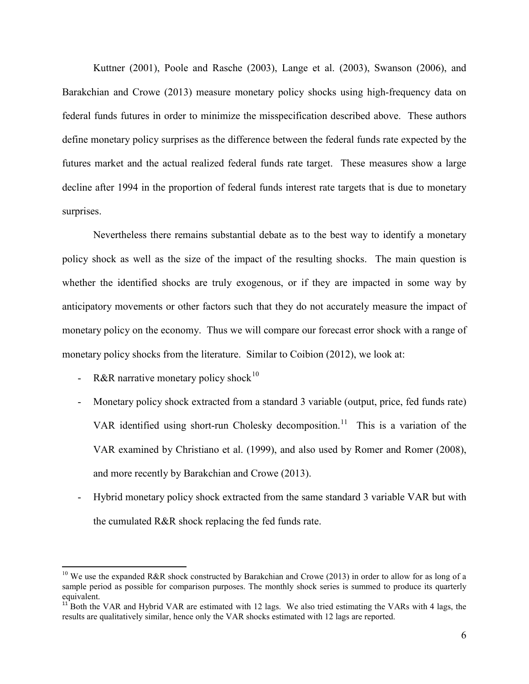Kuttner (2001), Poole and Rasche (2003), Lange et al. (2003), Swanson (2006), and Barakchian and Crowe (2013) measure monetary policy shocks using high-frequency data on federal funds futures in order to minimize the misspecification described above. These authors define monetary policy surprises as the difference between the federal funds rate expected by the futures market and the actual realized federal funds rate target. These measures show a large decline after 1994 in the proportion of federal funds interest rate targets that is due to monetary surprises.

Nevertheless there remains substantial debate as to the best way to identify a monetary policy shock as well as the size of the impact of the resulting shocks. The main question is whether the identified shocks are truly exogenous, or if they are impacted in some way by anticipatory movements or other factors such that they do not accurately measure the impact of monetary policy on the economy. Thus we will compare our forecast error shock with a range of monetary policy shocks from the literature. Similar to Coibion (2012), we look at:

- R&R narrative monetary policy shock<sup>[10](#page-7-0)</sup>
- Monetary policy shock extracted from a standard 3 variable (output, price, fed funds rate) VAR identified using short-run Cholesky decomposition.<sup>[11](#page-7-1)</sup> This is a variation of the VAR examined by Christiano et al. (1999), and also used by Romer and Romer (2008), and more recently by Barakchian and Crowe (2013).
- Hybrid monetary policy shock extracted from the same standard 3 variable VAR but with the cumulated R&R shock replacing the fed funds rate.

<span id="page-7-0"></span><sup>&</sup>lt;sup>10</sup> We use the expanded R&R shock constructed by Barakchian and Crowe (2013) in order to allow for as long of a sample period as possible for comparison purposes. The monthly shock series is summed to produce its quarterly equivalent.

<span id="page-7-1"></span> $11^{11}$  Both the VAR and Hybrid VAR are estimated with 12 lags. We also tried estimating the VARs with 4 lags, the results are qualitatively similar, hence only the VAR shocks estimated with 12 lags are reported.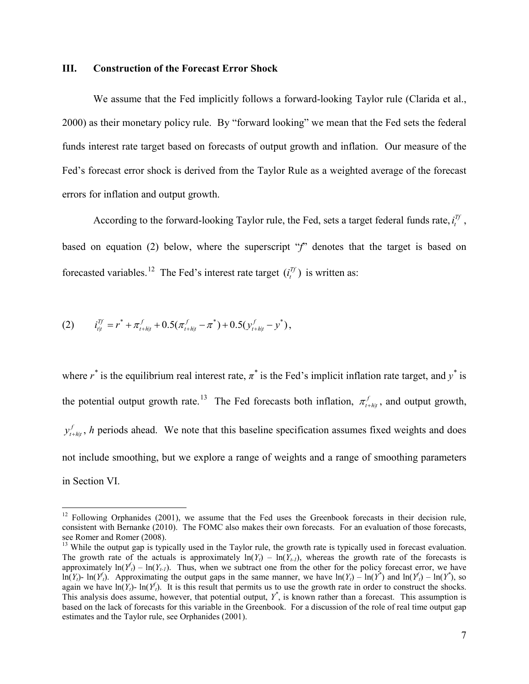#### **III. Construction of the Forecast Error Shock**

We assume that the Fed implicitly follows a forward-looking Taylor rule (Clarida et al., 2000) as their monetary policy rule. By "forward looking" we mean that the Fed sets the federal funds interest rate target based on forecasts of output growth and inflation. Our measure of the Fed's forecast error shock is derived from the Taylor Rule as a weighted average of the forecast errors for inflation and output growth.

According to the forward-looking Taylor rule, the Fed, sets a target federal funds rate,  $i_t^{T_f}$ , based on equation (2) below, where the superscript "f" denotes that the target is based on forecasted variables.<sup>[12](#page-8-0)</sup> The Fed's interest rate target  $(i_t^T)$  is written as:

(2) 
$$
i_{t|t}^{Tf} = r^* + \pi_{t+h|t}^f + 0.5(\pi_{t+h|t}^f - \pi^*) + 0.5(y_{t+h|t}^f - y^*),
$$

where  $r^*$  is the equilibrium real interest rate,  $\pi^*$  is the Fed's implicit inflation rate target, and  $y^*$  is the potential output growth rate.<sup>[13](#page-8-1)</sup> The Fed forecasts both inflation,  $\pi_{t+h|t}^f$ , and output growth, |  $y_{t+h|t}^f$ , *h* periods ahead. We note that this baseline specification assumes fixed weights and does not include smoothing, but we explore a range of weights and a range of smoothing parameters in Section VI.

<span id="page-8-0"></span> $12$  Following Orphanides (2001), we assume that the Fed uses the Greenbook forecasts in their decision rule, consistent with Bernanke (2010). The FOMC also makes their own forecasts. For an evaluation of those forecasts, see Romer and Romer (2008).

<span id="page-8-1"></span> $13$  While the output gap is typically used in the Taylor rule, the growth rate is typically used in forecast evaluation. The growth rate of the actuals is approximately  $ln(Y_t) - ln(Y_{t-1})$ , whereas the growth rate of the forecasts is approximately  $\ln(Y_t) - \ln(Y_{t-1})$ . Thus, when we subtract one from the other for the policy forecast error, we have  $\ln(Y_t)$ -  $\ln(Y_t)$ . Approximating the output gaps in the same manner, we have  $\ln(Y_t) - \ln(Y^*)$  and  $\ln(Y_t) - \ln(Y^*)$ , so again we have  $\ln(Y_t)$ -  $\ln(Y_t)$ . It is this result that permits us to use the growth rate in order to construct the shocks. This analysis does assume, however, that potential output,  $Y^*$ , is known rather than a forecast. This assumption is based on the lack of forecasts for this variable in the Greenbook. For a discussion of the role of real time output gap estimates and the Taylor rule, see Orphanides (2001).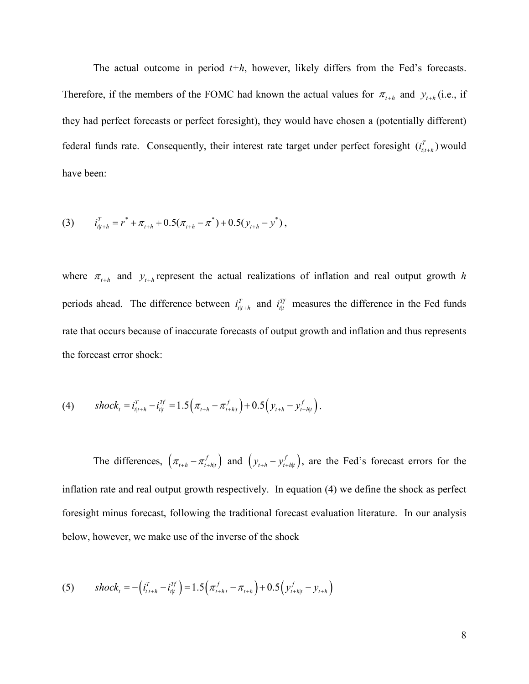The actual outcome in period  $t+h$ , however, likely differs from the Fed's forecasts. Therefore, if the members of the FOMC had known the actual values for  $\pi_{t+h}$  and  $y_{t+h}$  (i.e., if they had perfect forecasts or perfect foresight), they would have chosen a (potentially different) federal funds rate. Consequently, their interest rate target under perfect foresight  $(i_{t}^T)$  would have been:

(3) 
$$
i_{t_{l}+h}^{T} = r^* + \pi_{t+h} + 0.5(\pi_{t+h} - \pi^*) + 0.5(y_{t+h} - y^*),
$$

where  $\pi_{t+h}$  and  $y_{t+h}$  represent the actual realizations of inflation and real output growth *h* periods ahead. The difference between  $i_{t|t+h}^T$  and  $i_{t|t}^T$  measures the difference in the Fed funds rate that occurs because of inaccurate forecasts of output growth and inflation and thus represents the forecast error shock:

(4) 
$$
shock_t = i_{t|t+h}^T - i_{t|t}^{Tf} = 1.5(\pi_{t+h} - \pi_{t+h|t}^f) + 0.5(y_{t+h} - y_{t+h|t}^f).
$$

The differences,  $(\pi_{t+h} - \pi_{t+h|t}^f)$  and  $(y_{t+h} - y_{t+h|t}^f)$ , are the Fed's forecast errors for the inflation rate and real output growth respectively. In equation (4) we define the shock as perfect foresight minus forecast, following the traditional forecast evaluation literature. In our analysis below, however, we make use of the inverse of the shock

(5) 
$$
shock_{t} = -\left(i_{t|t+h}^{T} - i_{t|t}^{Tf}\right) = 1.5\left(\pi_{t+h|t}^{f} - \pi_{t+h}\right) + 0.5\left(y_{t+h|t}^{f} - y_{t+h}\right)
$$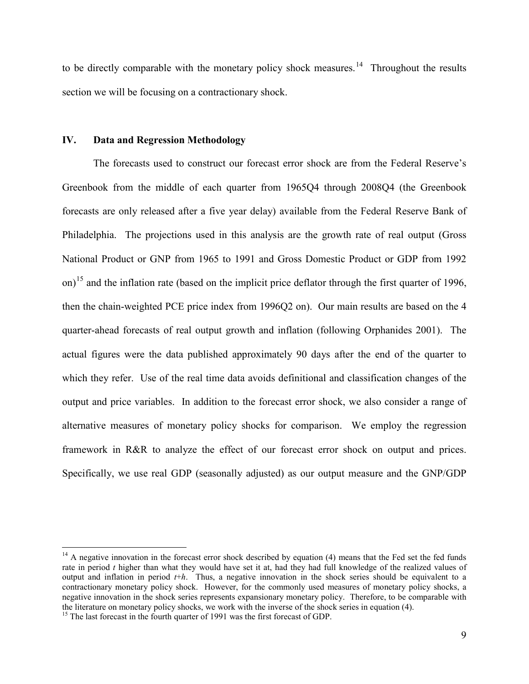to be directly comparable with the monetary policy shock measures.<sup>[14](#page-10-0)</sup> Throughout the results section we will be focusing on a contractionary shock.

#### **IV. Data and Regression Methodology**

The forecasts used to construct our forecast error shock are from the Federal Reserve's Greenbook from the middle of each quarter from 1965Q4 through 2008Q4 (the Greenbook forecasts are only released after a five year delay) available from the Federal Reserve Bank of Philadelphia. The projections used in this analysis are the growth rate of real output (Gross National Product or GNP from 1965 to 1991 and Gross Domestic Product or GDP from 1992 on)<sup>[15](#page-10-1)</sup> and the inflation rate (based on the implicit price deflator through the first quarter of 1996, then the chain-weighted PCE price index from 1996Q2 on). Our main results are based on the 4 quarter-ahead forecasts of real output growth and inflation (following Orphanides 2001). The actual figures were the data published approximately 90 days after the end of the quarter to which they refer. Use of the real time data avoids definitional and classification changes of the output and price variables. In addition to the forecast error shock, we also consider a range of alternative measures of monetary policy shocks for comparison. We employ the regression framework in R&R to analyze the effect of our forecast error shock on output and prices. Specifically, we use real GDP (seasonally adjusted) as our output measure and the GNP/GDP

<span id="page-10-0"></span> $14$  A negative innovation in the forecast error shock described by equation (4) means that the Fed set the fed funds rate in period *t* higher than what they would have set it at, had they had full knowledge of the realized values of output and inflation in period *t*+*h*. Thus, a negative innovation in the shock series should be equivalent to a contractionary monetary policy shock. However, for the commonly used measures of monetary policy shocks, a negative innovation in the shock series represents expansionary monetary policy. Therefore, to be comparable with the literature on monetary policy shocks, we work with the inverse of the shock series in equation (4). <sup>15</sup> The last forecast in the fourth quarter of 1991 was the first forecast of GDP.

<span id="page-10-1"></span>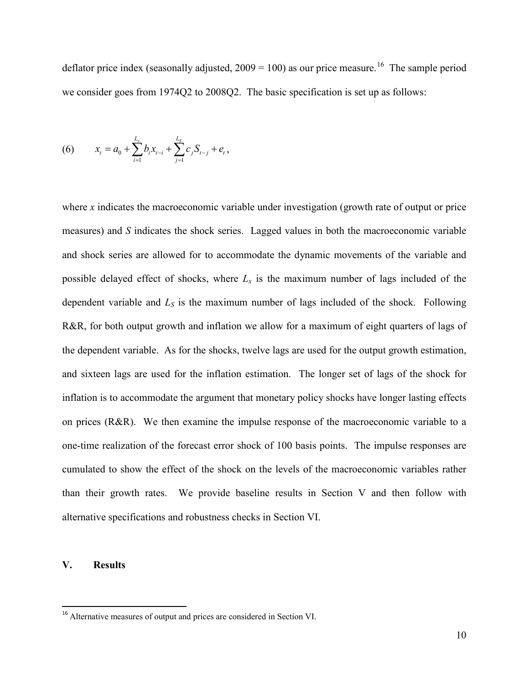deflator price index (seasonally adjusted,  $2009 = 100$ ) as our price measure.<sup>16</sup> The sample period we consider goes from 1974Q2 to 2008Q2. The basic specification is set up as follows:

(6) 
$$
x_{t} = a_{0} + \sum_{i=1}^{L_{x}} b_{i} x_{t-i} + \sum_{j=1}^{L_{s}} c_{j} S_{t-j} + e_{t},
$$

where *x* indicates the macroeconomic variable under investigation (growth rate of output or price measures) and *S* indicates the shock series. Lagged values in both the macroeconomic variable and shock series are allowed for to accommodate the dynamic movements of the variable and possible delayed effect of shocks, where  $L<sub>x</sub>$  is the maximum number of lags included of the dependent variable and *LS* is the maximum number of lags included of the shock. Following R&R, for both output growth and inflation we allow for a maximum of eight quarters of lags of the dependent variable. As for the shocks, twelve lags are used for the output growth estimation, and sixteen lags are used for the inflation estimation. The longer set of lags of the shock for inflation is to accommodate the argument that monetary policy shocks have longer lasting effects on prices (R&R). We then examine the impulse response of the macroeconomic variable to a one-time realization of the forecast error shock of 100 basis points. The impulse responses are cumulated to show the effect of the shock on the levels of the macroeconomic variables rather than their growth rates. We provide baseline results in Section V and then follow with alternative specifications and robustness checks in Section VI.

## **V. Results**

<span id="page-11-0"></span><sup>&</sup>lt;sup>16</sup> Alternative measures of output and prices are considered in Section VI.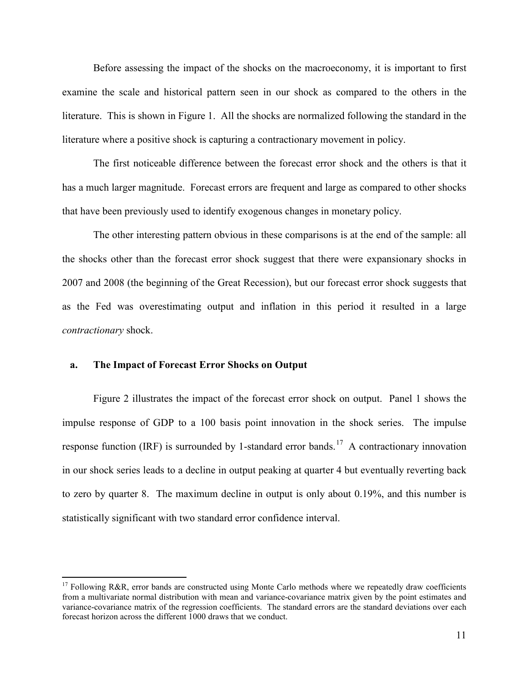Before assessing the impact of the shocks on the macroeconomy, it is important to first examine the scale and historical pattern seen in our shock as compared to the others in the literature. This is shown in Figure 1. All the shocks are normalized following the standard in the literature where a positive shock is capturing a contractionary movement in policy.

The first noticeable difference between the forecast error shock and the others is that it has a much larger magnitude. Forecast errors are frequent and large as compared to other shocks that have been previously used to identify exogenous changes in monetary policy.

The other interesting pattern obvious in these comparisons is at the end of the sample: all the shocks other than the forecast error shock suggest that there were expansionary shocks in 2007 and 2008 (the beginning of the Great Recession), but our forecast error shock suggests that as the Fed was overestimating output and inflation in this period it resulted in a large *contractionary* shock.

#### **a. The Impact of Forecast Error Shocks on Output**

Figure 2 illustrates the impact of the forecast error shock on output. Panel 1 shows the impulse response of GDP to a 100 basis point innovation in the shock series. The impulse response function (IRF) is surrounded by 1-standard error bands.<sup>[17](#page-12-0)</sup> A contractionary innovation in our shock series leads to a decline in output peaking at quarter 4 but eventually reverting back to zero by quarter 8. The maximum decline in output is only about 0.19%, and this number is statistically significant with two standard error confidence interval.

<span id="page-12-0"></span> $17$  Following R&R, error bands are constructed using Monte Carlo methods where we repeatedly draw coefficients from a multivariate normal distribution with mean and variance-covariance matrix given by the point estimates and variance-covariance matrix of the regression coefficients. The standard errors are the standard deviations over each forecast horizon across the different 1000 draws that we conduct.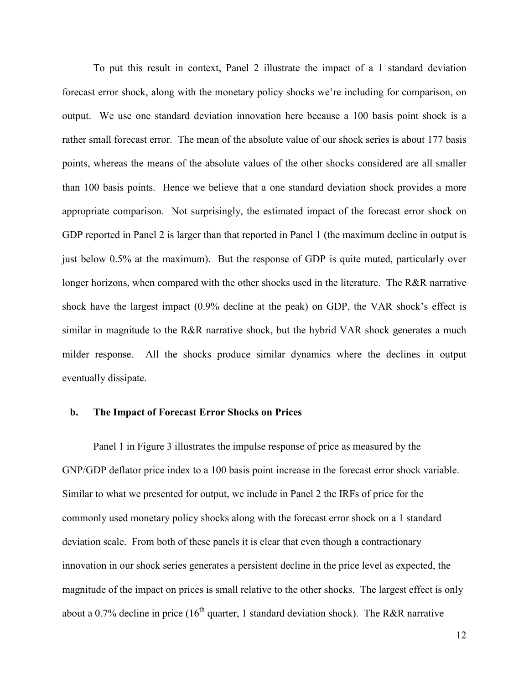To put this result in context, Panel 2 illustrate the impact of a 1 standard deviation forecast error shock, along with the monetary policy shocks we're including for comparison, on output. We use one standard deviation innovation here because a 100 basis point shock is a rather small forecast error. The mean of the absolute value of our shock series is about 177 basis points, whereas the means of the absolute values of the other shocks considered are all smaller than 100 basis points. Hence we believe that a one standard deviation shock provides a more appropriate comparison. Not surprisingly, the estimated impact of the forecast error shock on GDP reported in Panel 2 is larger than that reported in Panel 1 (the maximum decline in output is just below 0.5% at the maximum). But the response of GDP is quite muted, particularly over longer horizons, when compared with the other shocks used in the literature. The R&R narrative shock have the largest impact (0.9% decline at the peak) on GDP, the VAR shock's effect is similar in magnitude to the R&R narrative shock, but the hybrid VAR shock generates a much milder response. All the shocks produce similar dynamics where the declines in output eventually dissipate.

#### **b. The Impact of Forecast Error Shocks on Prices**

Panel 1 in Figure 3 illustrates the impulse response of price as measured by the GNP/GDP deflator price index to a 100 basis point increase in the forecast error shock variable. Similar to what we presented for output, we include in Panel 2 the IRFs of price for the commonly used monetary policy shocks along with the forecast error shock on a 1 standard deviation scale. From both of these panels it is clear that even though a contractionary innovation in our shock series generates a persistent decline in the price level as expected, the magnitude of the impact on prices is small relative to the other shocks. The largest effect is only about a 0.7% decline in price  $(16<sup>th</sup>$  quarter, 1 standard deviation shock). The R&R narrative

12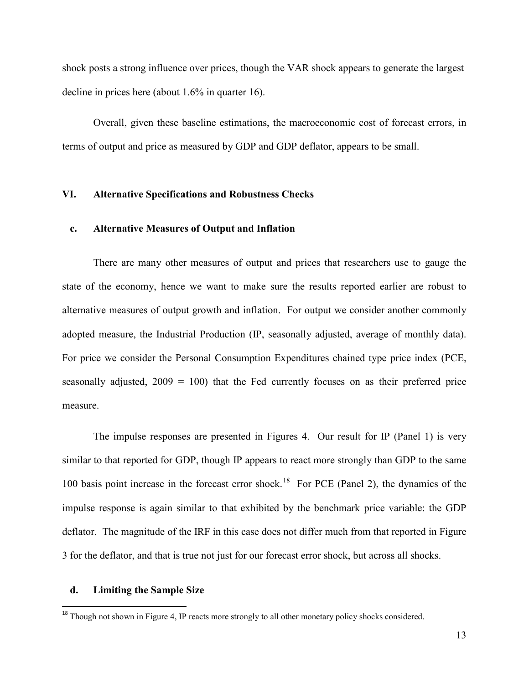shock posts a strong influence over prices, though the VAR shock appears to generate the largest decline in prices here (about 1.6% in quarter 16).

Overall, given these baseline estimations, the macroeconomic cost of forecast errors, in terms of output and price as measured by GDP and GDP deflator, appears to be small.

## **VI. Alternative Specifications and Robustness Checks**

#### **c. Alternative Measures of Output and Inflation**

There are many other measures of output and prices that researchers use to gauge the state of the economy, hence we want to make sure the results reported earlier are robust to alternative measures of output growth and inflation. For output we consider another commonly adopted measure, the Industrial Production (IP, seasonally adjusted, average of monthly data). For price we consider the Personal Consumption Expenditures chained type price index (PCE, seasonally adjusted,  $2009 = 100$ ) that the Fed currently focuses on as their preferred price measure.

The impulse responses are presented in Figures 4. Our result for IP (Panel 1) is very similar to that reported for GDP, though IP appears to react more strongly than GDP to the same 100 basis point increase in the forecast error shock.<sup>18</sup> For PCE (Panel 2), the dynamics of the impulse response is again similar to that exhibited by the benchmark price variable: the GDP deflator. The magnitude of the IRF in this case does not differ much from that reported in Figure 3 for the deflator, and that is true not just for our forecast error shock, but across all shocks.

#### **d. Limiting the Sample Size**

<span id="page-14-0"></span><sup>&</sup>lt;sup>18</sup> Though not shown in Figure 4, IP reacts more strongly to all other monetary policy shocks considered.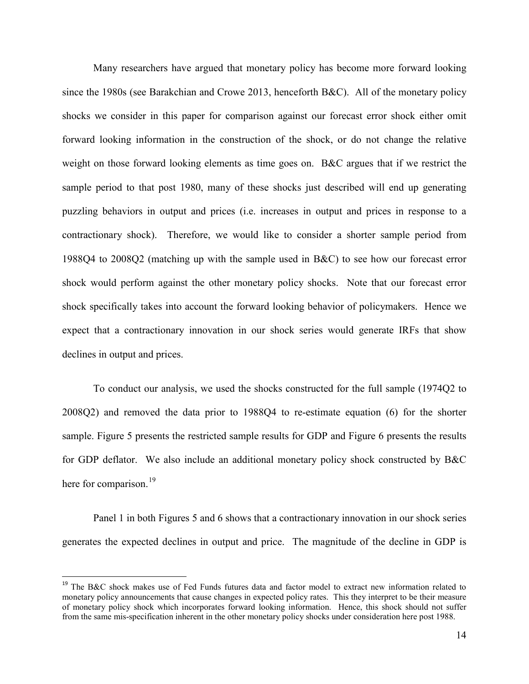Many researchers have argued that monetary policy has become more forward looking since the 1980s (see Barakchian and Crowe 2013, henceforth B&C). All of the monetary policy shocks we consider in this paper for comparison against our forecast error shock either omit forward looking information in the construction of the shock, or do not change the relative weight on those forward looking elements as time goes on. B&C argues that if we restrict the sample period to that post 1980, many of these shocks just described will end up generating puzzling behaviors in output and prices (i.e. increases in output and prices in response to a contractionary shock). Therefore, we would like to consider a shorter sample period from 1988Q4 to 2008Q2 (matching up with the sample used in B&C) to see how our forecast error shock would perform against the other monetary policy shocks. Note that our forecast error shock specifically takes into account the forward looking behavior of policymakers. Hence we expect that a contractionary innovation in our shock series would generate IRFs that show declines in output and prices.

To conduct our analysis, we used the shocks constructed for the full sample (1974Q2 to 2008Q2) and removed the data prior to 1988Q4 to re-estimate equation (6) for the shorter sample. Figure 5 presents the restricted sample results for GDP and Figure 6 presents the results for GDP deflator. We also include an additional monetary policy shock constructed by B&C here for comparison.<sup>[19](#page-15-0)</sup>

Panel 1 in both Figures 5 and 6 shows that a contractionary innovation in our shock series generates the expected declines in output and price. The magnitude of the decline in GDP is

<span id="page-15-0"></span><sup>&</sup>lt;sup>19</sup> The B&C shock makes use of Fed Funds futures data and factor model to extract new information related to monetary policy announcements that cause changes in expected policy rates. This they interpret to be their measure of monetary policy shock which incorporates forward looking information. Hence, this shock should not suffer from the same mis-specification inherent in the other monetary policy shocks under consideration here post 1988.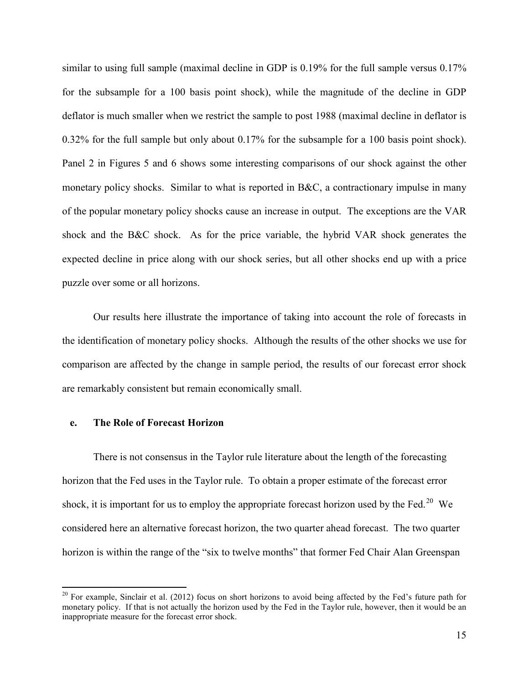similar to using full sample (maximal decline in GDP is 0.19% for the full sample versus 0.17% for the subsample for a 100 basis point shock), while the magnitude of the decline in GDP deflator is much smaller when we restrict the sample to post 1988 (maximal decline in deflator is 0.32% for the full sample but only about 0.17% for the subsample for a 100 basis point shock). Panel 2 in Figures 5 and 6 shows some interesting comparisons of our shock against the other monetary policy shocks. Similar to what is reported in B&C, a contractionary impulse in many of the popular monetary policy shocks cause an increase in output. The exceptions are the VAR shock and the B&C shock. As for the price variable, the hybrid VAR shock generates the expected decline in price along with our shock series, but all other shocks end up with a price puzzle over some or all horizons.

Our results here illustrate the importance of taking into account the role of forecasts in the identification of monetary policy shocks. Although the results of the other shocks we use for comparison are affected by the change in sample period, the results of our forecast error shock are remarkably consistent but remain economically small.

## **e. The Role of Forecast Horizon**

There is not consensus in the Taylor rule literature about the length of the forecasting horizon that the Fed uses in the Taylor rule. To obtain a proper estimate of the forecast error shock, it is important for us to employ the appropriate forecast horizon used by the Fed.<sup>20</sup> We considered here an alternative forecast horizon, the two quarter ahead forecast. The two quarter horizon is within the range of the "six to twelve months" that former Fed Chair Alan Greenspan

<span id="page-16-0"></span> $^{20}$  For example, Sinclair et al. (2012) focus on short horizons to avoid being affected by the Fed's future path for monetary policy. If that is not actually the horizon used by the Fed in the Taylor rule, however, then it would be an inappropriate measure for the forecast error shock.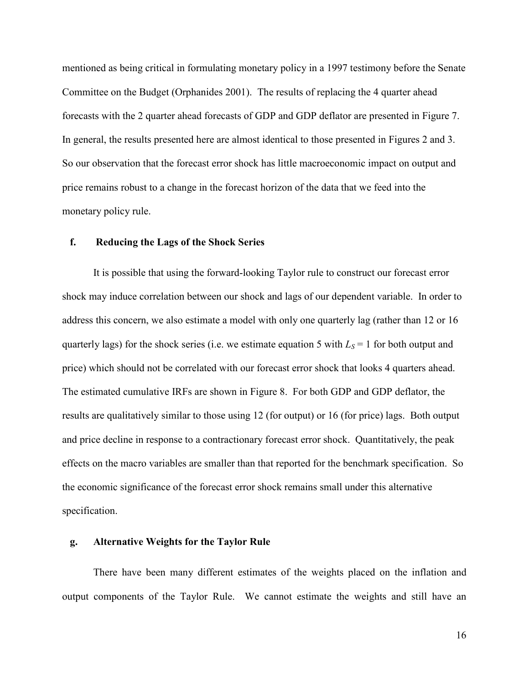mentioned as being critical in formulating monetary policy in a 1997 testimony before the Senate Committee on the Budget (Orphanides 2001). The results of replacing the 4 quarter ahead forecasts with the 2 quarter ahead forecasts of GDP and GDP deflator are presented in Figure 7. In general, the results presented here are almost identical to those presented in Figures 2 and 3. So our observation that the forecast error shock has little macroeconomic impact on output and price remains robust to a change in the forecast horizon of the data that we feed into the monetary policy rule.

## **f. Reducing the Lags of the Shock Series**

It is possible that using the forward-looking Taylor rule to construct our forecast error shock may induce correlation between our shock and lags of our dependent variable. In order to address this concern, we also estimate a model with only one quarterly lag (rather than 12 or 16 quarterly lags) for the shock series (i.e. we estimate equation 5 with  $L_s = 1$  for both output and price) which should not be correlated with our forecast error shock that looks 4 quarters ahead. The estimated cumulative IRFs are shown in Figure 8. For both GDP and GDP deflator, the results are qualitatively similar to those using 12 (for output) or 16 (for price) lags. Both output and price decline in response to a contractionary forecast error shock. Quantitatively, the peak effects on the macro variables are smaller than that reported for the benchmark specification. So the economic significance of the forecast error shock remains small under this alternative specification.

## **g. Alternative Weights for the Taylor Rule**

There have been many different estimates of the weights placed on the inflation and output components of the Taylor Rule. We cannot estimate the weights and still have an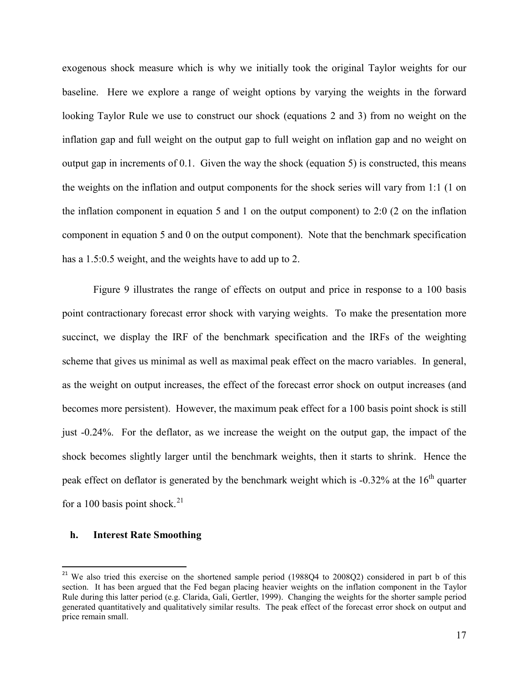exogenous shock measure which is why we initially took the original Taylor weights for our baseline. Here we explore a range of weight options by varying the weights in the forward looking Taylor Rule we use to construct our shock (equations 2 and 3) from no weight on the inflation gap and full weight on the output gap to full weight on inflation gap and no weight on output gap in increments of 0.1. Given the way the shock (equation 5) is constructed, this means the weights on the inflation and output components for the shock series will vary from 1:1 (1 on the inflation component in equation 5 and 1 on the output component) to 2:0 (2 on the inflation component in equation 5 and 0 on the output component). Note that the benchmark specification has a 1.5:0.5 weight, and the weights have to add up to 2.

Figure 9 illustrates the range of effects on output and price in response to a 100 basis point contractionary forecast error shock with varying weights. To make the presentation more succinct, we display the IRF of the benchmark specification and the IRFs of the weighting scheme that gives us minimal as well as maximal peak effect on the macro variables. In general, as the weight on output increases, the effect of the forecast error shock on output increases (and becomes more persistent). However, the maximum peak effect for a 100 basis point shock is still just -0.24%. For the deflator, as we increase the weight on the output gap, the impact of the shock becomes slightly larger until the benchmark weights, then it starts to shrink. Hence the peak effect on deflator is generated by the benchmark weight which is -0.32% at the 16<sup>th</sup> quarter for a 100 basis point shock.<sup>[21](#page-18-0)</sup>

#### **h. Interest Rate Smoothing**

<span id="page-18-0"></span><sup>&</sup>lt;sup>21</sup> We also tried this exercise on the shortened sample period (1988Q4 to 2008Q2) considered in part b of this section. It has been argued that the Fed began placing heavier weights on the inflation component in the Taylor Rule during this latter period (e.g. Clarida, Gali, Gertler, 1999). Changing the weights for the shorter sample period generated quantitatively and qualitatively similar results. The peak effect of the forecast error shock on output and price remain small.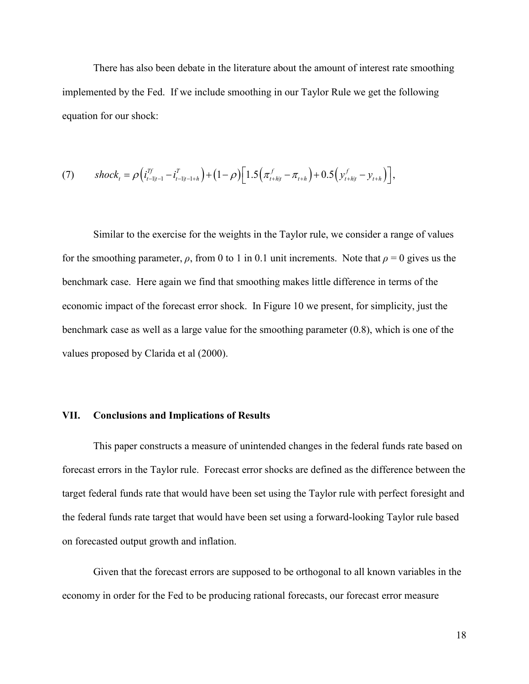There has also been debate in the literature about the amount of interest rate smoothing implemented by the Fed. If we include smoothing in our Taylor Rule we get the following equation for our shock:

$$
(7) \qquad shock_t = \rho \Big( i_{t-1|t-1}^{Tf} - i_{t-1|t-1+h}^{T} \Big) + (1-\rho) \Big[ 1.5 \Big( \pi_{t+h|t}^f - \pi_{t+h} \Big) + 0.5 \Big( y_{t+h|t}^f - y_{t+h} \Big) \Big],
$$

Similar to the exercise for the weights in the Taylor rule, we consider a range of values for the smoothing parameter,  $\rho$ , from 0 to 1 in 0.1 unit increments. Note that  $\rho = 0$  gives us the benchmark case. Here again we find that smoothing makes little difference in terms of the economic impact of the forecast error shock. In Figure 10 we present, for simplicity, just the benchmark case as well as a large value for the smoothing parameter (0.8), which is one of the values proposed by Clarida et al (2000).

#### **VII. Conclusions and Implications of Results**

This paper constructs a measure of unintended changes in the federal funds rate based on forecast errors in the Taylor rule. Forecast error shocks are defined as the difference between the target federal funds rate that would have been set using the Taylor rule with perfect foresight and the federal funds rate target that would have been set using a forward-looking Taylor rule based on forecasted output growth and inflation.

Given that the forecast errors are supposed to be orthogonal to all known variables in the economy in order for the Fed to be producing rational forecasts, our forecast error measure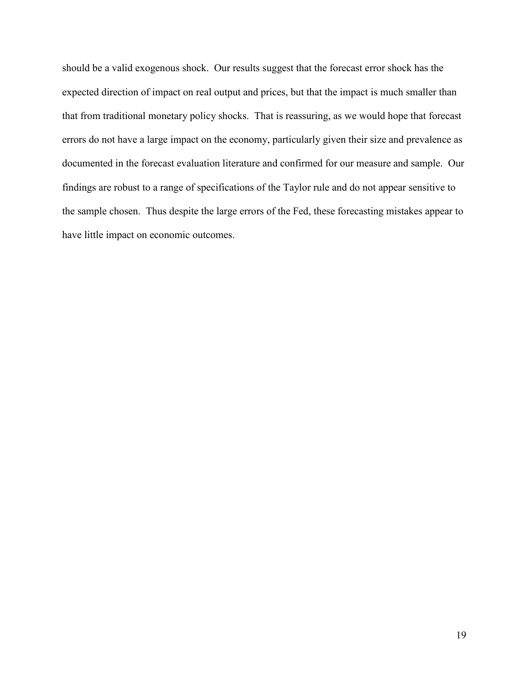should be a valid exogenous shock. Our results suggest that the forecast error shock has the expected direction of impact on real output and prices, but that the impact is much smaller than that from traditional monetary policy shocks. That is reassuring, as we would hope that forecast errors do not have a large impact on the economy, particularly given their size and prevalence as documented in the forecast evaluation literature and confirmed for our measure and sample. Our findings are robust to a range of specifications of the Taylor rule and do not appear sensitive to the sample chosen. Thus despite the large errors of the Fed, these forecasting mistakes appear to have little impact on economic outcomes.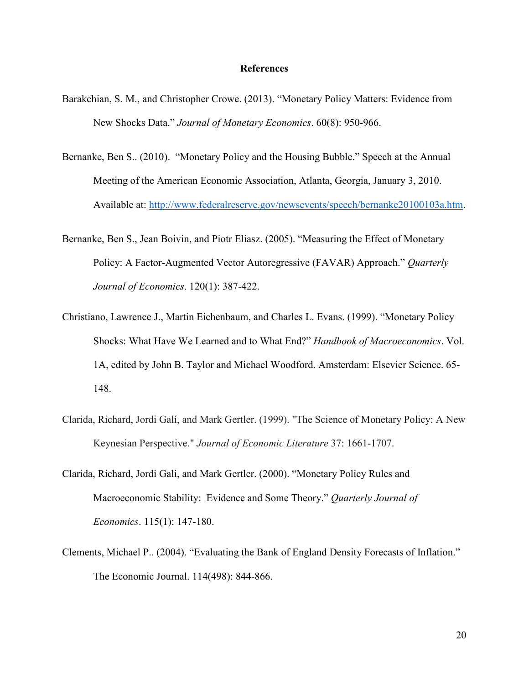#### **References**

- Barakchian, S. M., and Christopher Crowe. (2013). "Monetary Policy Matters: Evidence from New Shocks Data." *Journal of Monetary Economics*. 60(8): 950-966.
- Bernanke, Ben S.. (2010). "Monetary Policy and the Housing Bubble." Speech at the Annual Meeting of the American Economic Association, Atlanta, Georgia, January 3, 2010. Available at: [http://www.federalreserve.gov/newsevents/speech/bernanke20100103a.htm.](http://www.federalreserve.gov/newsevents/speech/bernanke20100103a.htm)
- Bernanke, Ben S., Jean Boivin, and Piotr Eliasz. (2005). "Measuring the Effect of Monetary Policy: A Factor-Augmented Vector Autoregressive (FAVAR) Approach." *Quarterly Journal of Economics*. 120(1): 387-422.
- Christiano, Lawrence J., Martin Eichenbaum, and Charles L. Evans. (1999). "Monetary Policy Shocks: What Have We Learned and to What End?" *Handbook of Macroeconomics*. Vol. 1A, edited by John B. Taylor and Michael Woodford. Amsterdam: Elsevier Science. 65- 148.
- Clarida, Richard, Jordi Galí, and Mark Gertler. (1999). "The Science of Monetary Policy: A New Keynesian Perspective." *Journal of Economic Literature* 37: 1661-1707.
- Clarida, Richard, Jordi Gali, and Mark Gertler. (2000). "Monetary Policy Rules and Macroeconomic Stability: Evidence and Some Theory." *Quarterly Journal of Economics*. 115(1): 147-180.
- Clements, Michael P.. (2004). "Evaluating the Bank of England Density Forecasts of Inflation." The Economic Journal. 114(498): 844-866.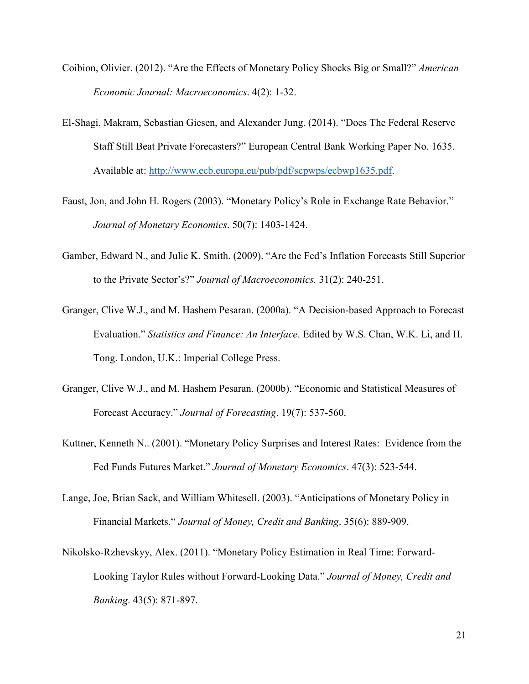- Coibion, Olivier. (2012). "Are the Effects of Monetary Policy Shocks Big or Small?" *American Economic Journal: Macroeconomics*. 4(2): 1-32.
- El-Shagi, Makram, Sebastian Giesen, and Alexander Jung. (2014). "Does The Federal Reserve Staff Still Beat Private Forecasters?" European Central Bank Working Paper No. 1635. Available at: [http://www.ecb.europa.eu/pub/pdf/scpwps/ecbwp1635.pdf.](http://www.ecb.europa.eu/pub/pdf/scpwps/ecbwp1635.pdf)
- Faust, Jon, and John H. Rogers (2003). "Monetary Policy's Role in Exchange Rate Behavior." *Journal of Monetary Economics*. 50(7): 1403-1424.
- Gamber, Edward N., and Julie K. Smith. (2009). "Are the Fed's Inflation Forecasts Still Superior to the Private Sector's?" *Journal of Macroeconomics.* 31(2): 240-251.
- Granger, Clive W.J., and M. Hashem Pesaran. (2000a). "A Decision-based Approach to Forecast Evaluation." *Statistics and Finance: An Interface*. Edited by W.S. Chan, W.K. Li, and H. Tong. London, U.K.: Imperial College Press.
- Granger, Clive W.J., and M. Hashem Pesaran. (2000b). "Economic and Statistical Measures of Forecast Accuracy." *Journal of Forecasting*. 19(7): 537-560.
- Kuttner, Kenneth N.. (2001). "Monetary Policy Surprises and Interest Rates: Evidence from the Fed Funds Futures Market." *Journal of Monetary Economics*. 47(3): 523-544.
- Lange, Joe, Brian Sack, and William Whitesell. (2003). "Anticipations of Monetary Policy in Financial Markets." *Journal of Money, Credit and Banking*. 35(6): 889-909.
- Nikolsko-Rzhevskyy, Alex. (2011). "Monetary Policy Estimation in Real Time: Forward-Looking Taylor Rules without Forward-Looking Data." *Journal of Money, Credit and Banking*. 43(5): 871-897.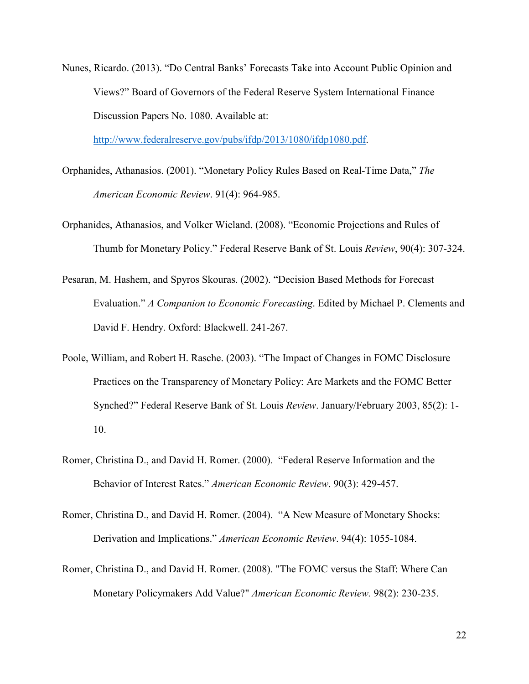Nunes, Ricardo. (2013). "Do Central Banks' Forecasts Take into Account Public Opinion and Views?" Board of Governors of the Federal Reserve System International Finance Discussion Papers No. 1080. Available at:

[http://www.federalreserve.gov/pubs/ifdp/2013/1080/ifdp1080.pdf.](http://www.federalreserve.gov/pubs/ifdp/2013/1080/ifdp1080.pdf)

- Orphanides, Athanasios. (2001). "Monetary Policy Rules Based on Real-Time Data," *The American Economic Review*. 91(4): 964-985.
- Orphanides, Athanasios, and Volker Wieland. (2008). "Economic Projections and Rules of Thumb for Monetary Policy." Federal Reserve Bank of St. Louis *Review*, 90(4): 307-324.
- Pesaran, M. Hashem, and Spyros Skouras. (2002). "Decision Based Methods for Forecast Evaluation." *A Companion to Economic Forecasting*. Edited by Michael P. Clements and David F. Hendry. Oxford: Blackwell. 241-267.
- Poole, William, and Robert H. Rasche. (2003). "The Impact of Changes in FOMC Disclosure Practices on the Transparency of Monetary Policy: Are Markets and the FOMC Better Synched?" Federal Reserve Bank of St. Louis *Review*. January/February 2003, 85(2): 1- 10.
- Romer, Christina D., and David H. Romer. (2000). "Federal Reserve Information and the Behavior of Interest Rates." *American Economic Review*. 90(3): 429-457.
- Romer, Christina D., and David H. Romer. (2004). "A New Measure of Monetary Shocks: Derivation and Implications." *American Economic Review*. 94(4): 1055-1084.
- Romer, Christina D., and David H. Romer. (2008). "The FOMC versus the Staff: Where Can Monetary Policymakers Add Value?" *American Economic Review.* 98(2): 230-235.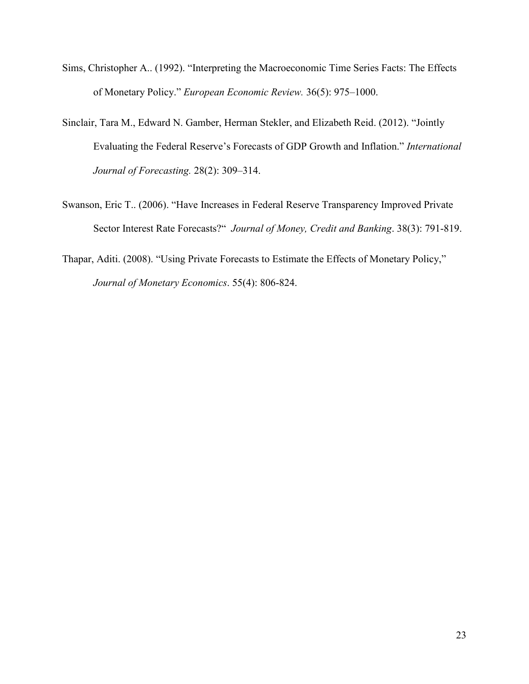- Sims, Christopher A.. (1992). "Interpreting the Macroeconomic Time Series Facts: The Effects of Monetary Policy." *European Economic Review.* 36(5): 975–1000.
- Sinclair, Tara M., Edward N. Gamber, Herman Stekler, and Elizabeth Reid. (2012). "Jointly Evaluating the Federal Reserve's Forecasts of GDP Growth and Inflation." *International Journal of Forecasting.* 28(2): 309–314.
- Swanson, Eric T.. (2006). "Have Increases in Federal Reserve Transparency Improved Private Sector Interest Rate Forecasts?" *Journal of Money, Credit and Banking*. 38(3): 791-819.
- Thapar, Aditi. (2008). "Using Private Forecasts to Estimate the Effects of Monetary Policy," *Journal of Monetary Economics*. 55(4): 806-824.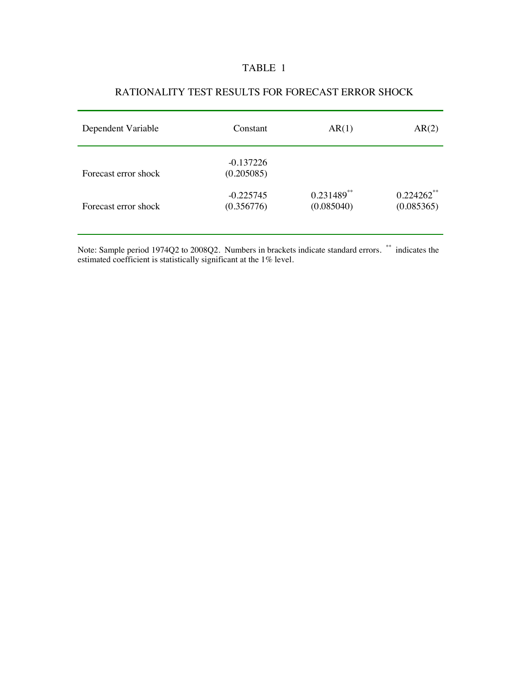## TABLE 1

| Dependent Variable   | Constant                  | AR(1)                      | AR(2)                                  |
|----------------------|---------------------------|----------------------------|----------------------------------------|
| Forecast error shock | $-0.137226$<br>(0.205085) |                            |                                        |
| Forecast error shock | $-0.225745$<br>(0.356776) | $0.231489**$<br>(0.085040) | $0.224262$ <sup>**</sup><br>(0.085365) |

## RATIONALITY TEST RESULTS FOR FORECAST ERROR SHOCK

Note: Sample period 1974Q2 to 2008Q2. Numbers in brackets indicate standard errors. \*\* indicates the estimated coefficient is statistically significant at the 1% level.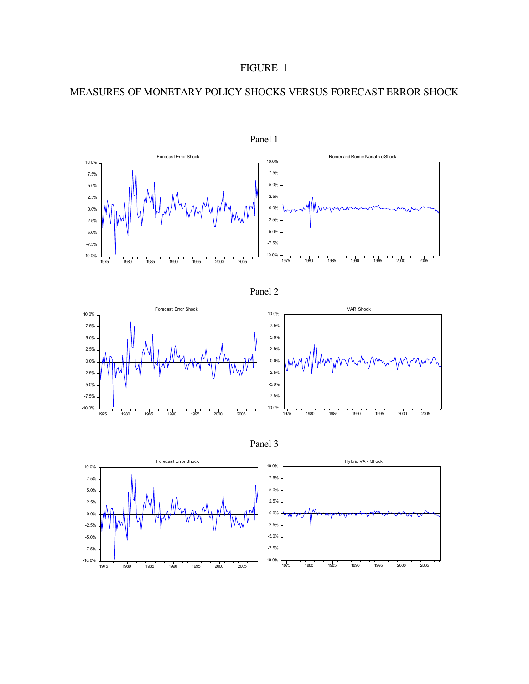## MEASURES OF MONETARY POLICY SHOCKS VERSUS FORECAST ERROR SHOCK









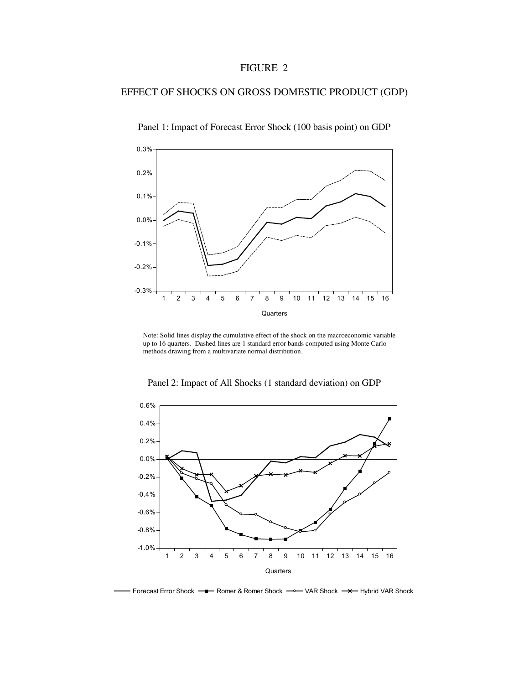## EFFECT OF SHOCKS ON GROSS DOMESTIC PRODUCT (GDP)



Panel 1: Impact of Forecast Error Shock (100 basis point) on GDP

 Note: Solid lines display the cumulative effect of the shock on the macroeconomic variable up to 16 quarters. Dashed lines are 1 standard error bands computed using Monte Carlo methods drawing from a multivariate normal distribution.



Panel 2: Impact of All Shocks (1 standard deviation) on GDP

Forecast Error Shock — Romer & Romer Shock — VAR Shock — X— Hybrid VAR Shock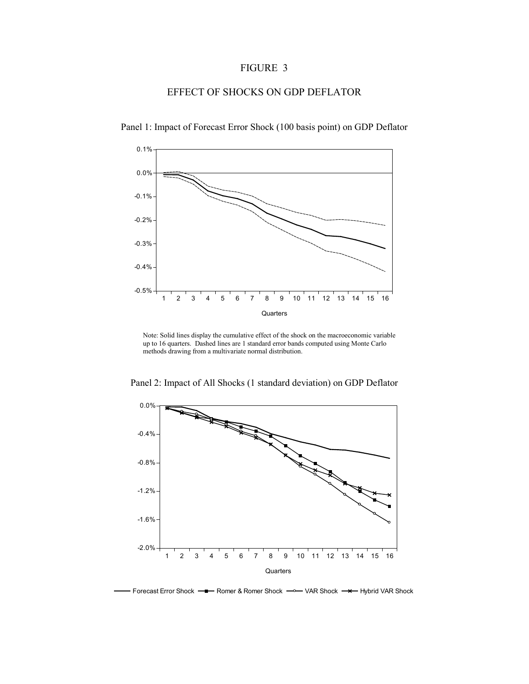## EFFECT OF SHOCKS ON GDP DEFLATOR



Panel 1: Impact of Forecast Error Shock (100 basis point) on GDP Deflator

Note: Solid lines display the cumulative effect of the shock on the macroeconomic variable up to 16 quarters. Dashed lines are 1 standard error bands computed using Monte Carlo methods drawing from a multivariate normal distribution.



Panel 2: Impact of All Shocks (1 standard deviation) on GDP Deflator

Forecast Error Shock — Romer & Romer Shock — VAR Shock — X-Hybrid VAR Shock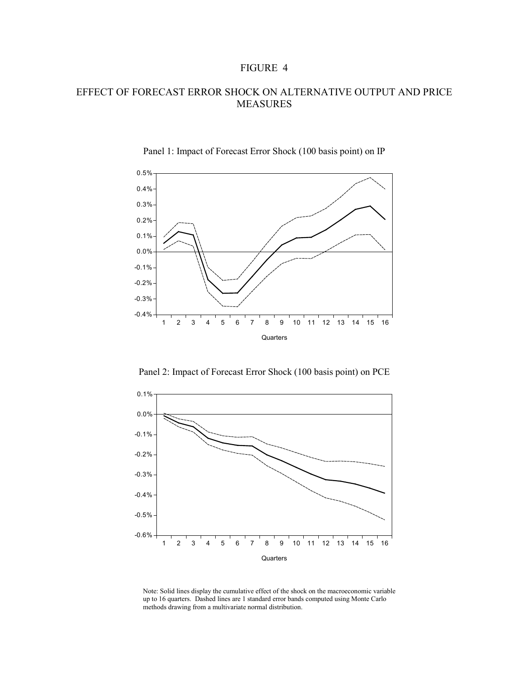## EFFECT OF FORECAST ERROR SHOCK ON ALTERNATIVE OUTPUT AND PRICE MEASURES



#### Panel 1: Impact of Forecast Error Shock (100 basis point) on IP

Panel 2: Impact of Forecast Error Shock (100 basis point) on PCE



Note: Solid lines display the cumulative effect of the shock on the macroeconomic variable up to 16 quarters. Dashed lines are 1 standard error bands computed using Monte Carlo methods drawing from a multivariate normal distribution.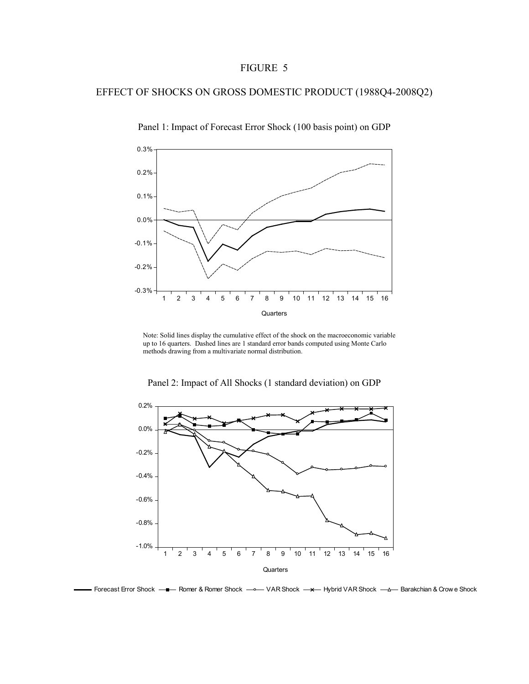## EFFECT OF SHOCKS ON GROSS DOMESTIC PRODUCT (1988Q4-2008Q2)



Panel 1: Impact of Forecast Error Shock (100 basis point) on GDP

Note: Solid lines display the cumulative effect of the shock on the macroeconomic variable up to 16 quarters. Dashed lines are 1 standard error bands computed using Monte Carlo methods drawing from a multivariate normal distribution.



Panel 2: Impact of All Shocks (1 standard deviation) on GDP

Forecast Error Shock <del>- -</del> Romer & Romer Shock - VAR Shock - - Hybrid VAR Shock - - Barakchian & Crow e Shock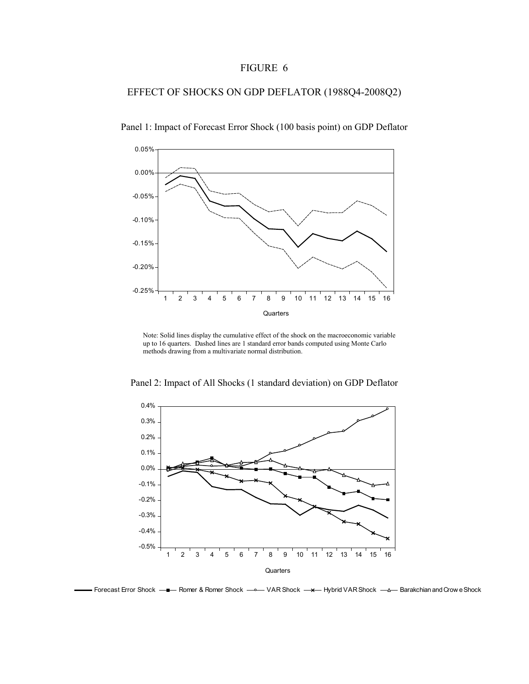## EFFECT OF SHOCKS ON GDP DEFLATOR (1988Q4-2008Q2)



Panel 1: Impact of Forecast Error Shock (100 basis point) on GDP Deflator

Note: Solid lines display the cumulative effect of the shock on the macroeconomic variable up to 16 quarters. Dashed lines are 1 standard error bands computed using Monte Carlo methods drawing from a multivariate normal distribution.

Panel 2: Impact of All Shocks (1 standard deviation) on GDP Deflator



Forecast Error Shock — Romer & Romer Shock — WAR Shock — x— Hybrid VAR Shock — A— Barakchian and Crow e Shock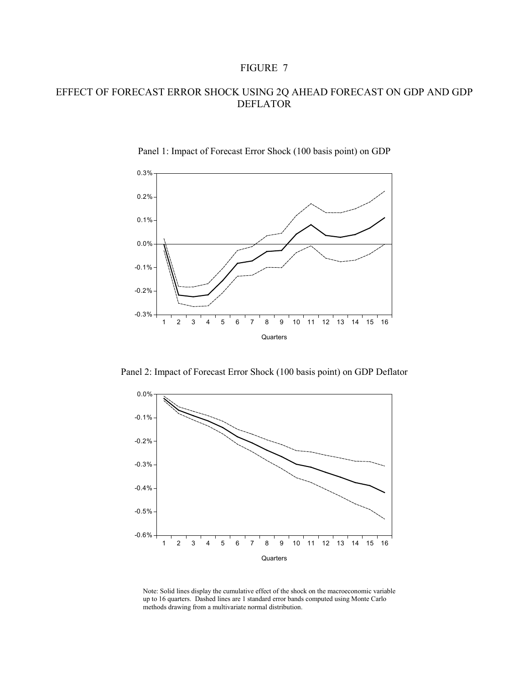## EFFECT OF FORECAST ERROR SHOCK USING 2Q AHEAD FORECAST ON GDP AND GDP DEFLATOR



#### Panel 1: Impact of Forecast Error Shock (100 basis point) on GDP

Panel 2: Impact of Forecast Error Shock (100 basis point) on GDP Deflator



Note: Solid lines display the cumulative effect of the shock on the macroeconomic variable up to 16 quarters. Dashed lines are 1 standard error bands computed using Monte Carlo methods drawing from a multivariate normal distribution.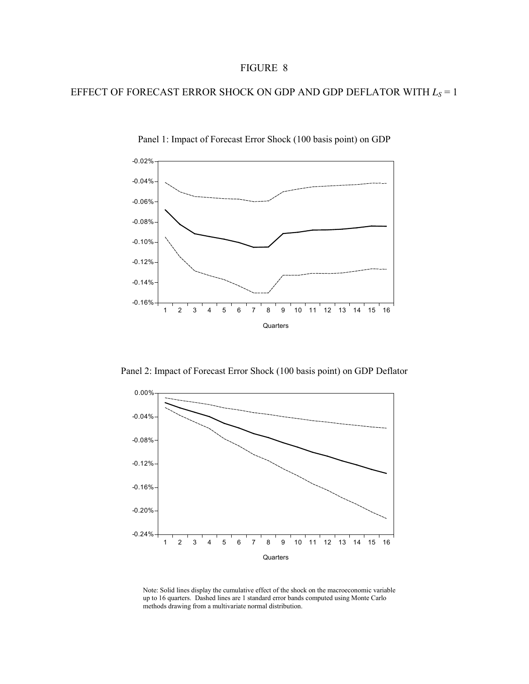## EFFECT OF FORECAST ERROR SHOCK ON GDP AND GDP DEFLATOR WITH  $L_s = 1$



Panel 1: Impact of Forecast Error Shock (100 basis point) on GDP

Panel 2: Impact of Forecast Error Shock (100 basis point) on GDP Deflator



Note: Solid lines display the cumulative effect of the shock on the macroeconomic variable up to 16 quarters. Dashed lines are 1 standard error bands computed using Monte Carlo methods drawing from a multivariate normal distribution.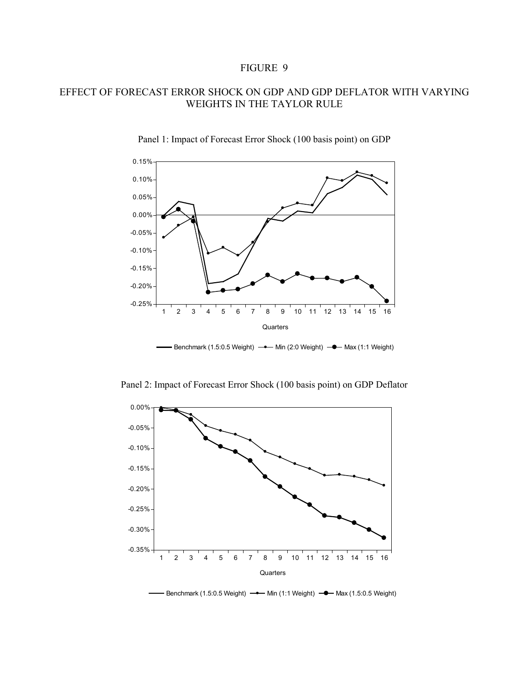## EFFECT OF FORECAST ERROR SHOCK ON GDP AND GDP DEFLATOR WITH VARYING WEIGHTS IN THE TAYLOR RULE



Panel 1: Impact of Forecast Error Shock (100 basis point) on GDP

Panel 2: Impact of Forecast Error Shock (100 basis point) on GDP Deflator



Benchmark (1.5:0.5 Weight)  $\rightarrow$  Min (1:1 Weight)  $\rightarrow$  Max (1.5:0.5 Weight)